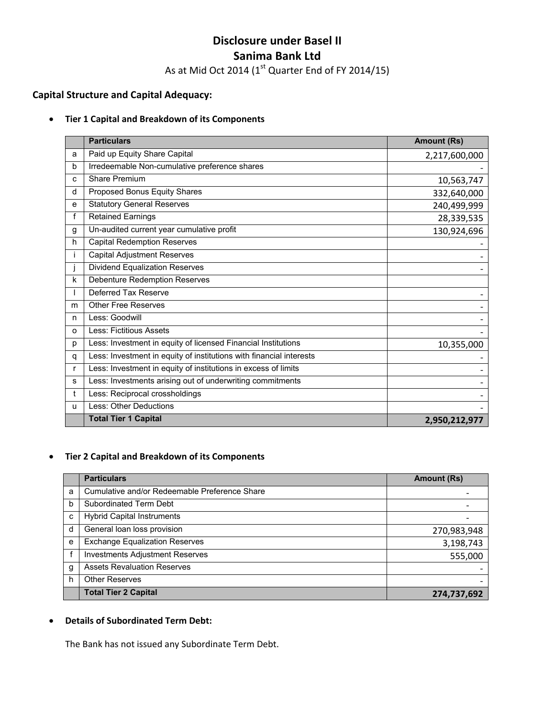# **Disclosure under Basel II Sanima Bank Ltd**

As at Mid Oct 2014 ( $1<sup>st</sup>$  Quarter End of FY 2014/15)

# **Capital Structure and Capital Adequacy:**

#### • **Tier 1 Capital and Breakdown of its Components**

|   | <b>Particulars</b>                                                  | <b>Amount (Rs)</b> |
|---|---------------------------------------------------------------------|--------------------|
| a | Paid up Equity Share Capital                                        | 2,217,600,000      |
| b | Irredeemable Non-cumulative preference shares                       |                    |
| c | Share Premium                                                       | 10,563,747         |
| d | Proposed Bonus Equity Shares                                        | 332,640,000        |
| e | <b>Statutory General Reserves</b>                                   | 240,499,999        |
| f | Retained Earnings                                                   | 28,339,535         |
| g | Un-audited current year cumulative profit                           | 130,924,696        |
| h | <b>Capital Redemption Reserves</b>                                  |                    |
| Ť | Capital Adjustment Reserves                                         |                    |
|   | Dividend Equalization Reserves                                      |                    |
| k | <b>Debenture Redemption Reserves</b>                                |                    |
|   | Deferred Tax Reserve                                                |                    |
| m | <b>Other Free Reserves</b>                                          |                    |
| n | Less: Goodwill                                                      |                    |
| O | Less: Fictitious Assets                                             |                    |
| p | Less: Investment in equity of licensed Financial Institutions       | 10,355,000         |
| q | Less: Investment in equity of institutions with financial interests |                    |
| r | Less: Investment in equity of institutions in excess of limits      |                    |
| s | Less: Investments arising out of underwriting commitments           |                    |
| t | Less: Reciprocal crossholdings                                      |                    |
| u | Less: Other Deductions                                              |                    |
|   | <b>Total Tier 1 Capital</b>                                         | 2,950,212,977      |

## • **Tier 2 Capital and Breakdown of its Components**

|   | <b>Particulars</b>                            | <b>Amount (Rs)</b> |
|---|-----------------------------------------------|--------------------|
| a | Cumulative and/or Redeemable Preference Share |                    |
| b | Subordinated Term Debt                        |                    |
| C | <b>Hybrid Capital Instruments</b>             |                    |
| d | General loan loss provision                   | 270,983,948        |
| e | <b>Exchange Equalization Reserves</b>         | 3,198,743          |
|   | <b>Investments Adjustment Reserves</b>        | 555,000            |
| g | <b>Assets Revaluation Reserves</b>            |                    |
| h | <b>Other Reserves</b>                         |                    |
|   | <b>Total Tier 2 Capital</b>                   | 274,737,692        |

#### • **Details of Subordinated Term Debt:**

The Bank has not issued any Subordinate Term Debt.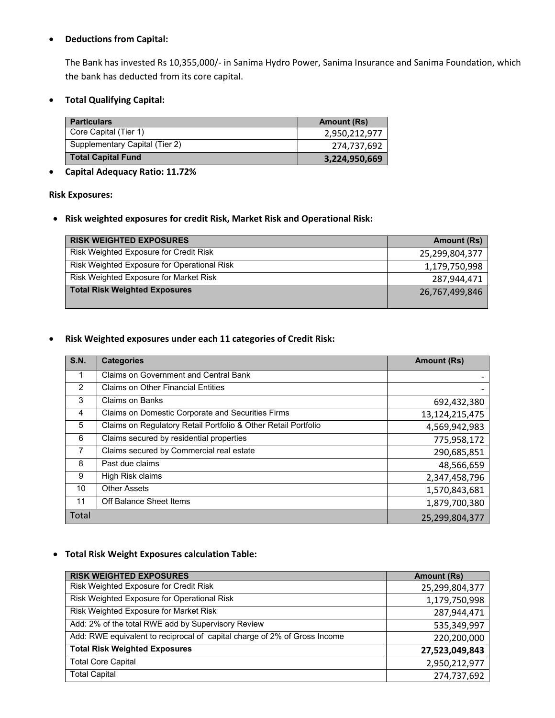### • **Deductions from Capital:**

The Bank has invested Rs 10,355,000/‐ in Sanima Hydro Power, Sanima Insurance and Sanima Foundation, which the bank has deducted from its core capital.

• **Total Qualifying Capital:** 

| <b>Particulars</b>             | Amount (Rs)   |
|--------------------------------|---------------|
| Core Capital (Tier 1)          | 2,950,212,977 |
| Supplementary Capital (Tier 2) | 274,737,692   |
| <b>Total Capital Fund</b>      | 3,224,950,669 |

• **Capital Adequacy Ratio: 11.72%** 

#### **Risk Exposures:**

• **Risk weighted exposures for credit Risk, Market Risk and Operational Risk:** 

| <b>RISK WEIGHTED EXPOSURES</b>              | Amount (Rs)    |
|---------------------------------------------|----------------|
| Risk Weighted Exposure for Credit Risk      | 25,299,804,377 |
| Risk Weighted Exposure for Operational Risk | 1,179,750,998  |
| Risk Weighted Exposure for Market Risk      | 287,944,471    |
| <b>Total Risk Weighted Exposures</b>        | 26,767,499,846 |

#### • **Risk Weighted exposures under each 11 categories of Credit Risk:**

| <b>S.N.</b>  | <b>Categories</b>                                              | <b>Amount (Rs)</b> |
|--------------|----------------------------------------------------------------|--------------------|
|              | Claims on Government and Central Bank                          |                    |
| 2            | <b>Claims on Other Financial Entities</b>                      |                    |
| 3            | <b>Claims on Banks</b>                                         | 692,432,380        |
| 4            | Claims on Domestic Corporate and Securities Firms              | 13,124,215,475     |
| 5            | Claims on Regulatory Retail Portfolio & Other Retail Portfolio | 4,569,942,983      |
| 6            | Claims secured by residential properties                       | 775,958,172        |
| 7            | Claims secured by Commercial real estate                       | 290,685,851        |
| 8            | Past due claims                                                | 48,566,659         |
| 9            | High Risk claims                                               | 2,347,458,796      |
| 10           | <b>Other Assets</b>                                            | 1,570,843,681      |
| 11           | Off Balance Sheet Items                                        | 1,879,700,380      |
| <b>Total</b> |                                                                | 25,299,804,377     |

#### • **Total Risk Weight Exposures calculation Table:**

| <b>RISK WEIGHTED EXPOSURES</b>                                            | <b>Amount (Rs)</b> |
|---------------------------------------------------------------------------|--------------------|
| Risk Weighted Exposure for Credit Risk                                    | 25,299,804,377     |
| Risk Weighted Exposure for Operational Risk                               | 1,179,750,998      |
| Risk Weighted Exposure for Market Risk                                    | 287,944,471        |
| Add: 2% of the total RWE add by Supervisory Review                        | 535,349,997        |
| Add: RWE equivalent to reciprocal of capital charge of 2% of Gross Income | 220,200,000        |
| <b>Total Risk Weighted Exposures</b>                                      | 27,523,049,843     |
| <b>Total Core Capital</b>                                                 | 2,950,212,977      |
| <b>Total Capital</b>                                                      | 274,737,692        |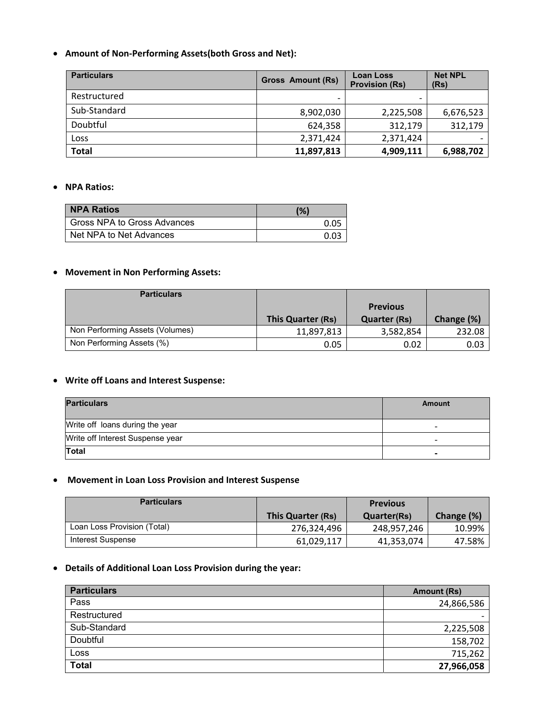### • **Amount of Non‐Performing Assets(both Gross and Net):**

| <b>Particulars</b> | <b>Gross Amount (Rs)</b> | <b>Loan Loss</b><br><b>Provision (Rs)</b> | <b>Net NPL</b><br>(Rs) |
|--------------------|--------------------------|-------------------------------------------|------------------------|
| Restructured       |                          |                                           |                        |
| Sub-Standard       | 8,902,030                | 2,225,508                                 | 6,676,523              |
| Doubtful           | 624,358                  | 312,179                                   | 312,179                |
| Loss               | 2,371,424                | 2,371,424                                 |                        |
| <b>Total</b>       | 11,897,813               | 4,909,111                                 | 6,988,702              |

#### • **NPA Ratios:**

| <b>NPA Ratios</b>           | (% ) |
|-----------------------------|------|
| Gross NPA to Gross Advances | 0.05 |
| Net NPA to Net Advances     | በ በ3 |

# • **Movement in Non Performing Assets:**

| <b>Particulars</b>              |                   |                     |            |
|---------------------------------|-------------------|---------------------|------------|
|                                 |                   | <b>Previous</b>     |            |
|                                 | This Quarter (Rs) | <b>Quarter (Rs)</b> | Change (%) |
| Non Performing Assets (Volumes) | 11,897,813        | 3,582,854           | 232.08     |
| Non Performing Assets (%)       | 0.05              | 0.02                | 0.03       |

# • **Write off Loans and Interest Suspense:**

| <b>Particulars</b>               | Amount                   |
|----------------------------------|--------------------------|
| Write off loans during the year  | $\overline{\phantom{0}}$ |
| Write off Interest Suspense year | $\overline{\phantom{0}}$ |
| Total                            | $\blacksquare$           |

## • **Movement in Loan Loss Provision and Interest Suspense**

| <b>Particulars</b>          |                   | <b>Previous</b> |            |
|-----------------------------|-------------------|-----------------|------------|
|                             | This Quarter (Rs) | Quarter(Rs)     | Change (%) |
| Loan Loss Provision (Total) | 276.324.496       | 248,957,246     | 10.99%     |
| Interest Suspense           | 61,029,117        | 41,353,074      | 47.58%     |

### • **Details of Additional Loan Loss Provision during the year:**

| <b>Particulars</b> | Amount (Rs)              |
|--------------------|--------------------------|
| Pass               | 24,866,586               |
| Restructured       | $\overline{\phantom{0}}$ |
| Sub-Standard       | 2,225,508                |
| Doubtful           | 158,702                  |
| Loss               | 715,262                  |
| <b>Total</b>       | 27,966,058               |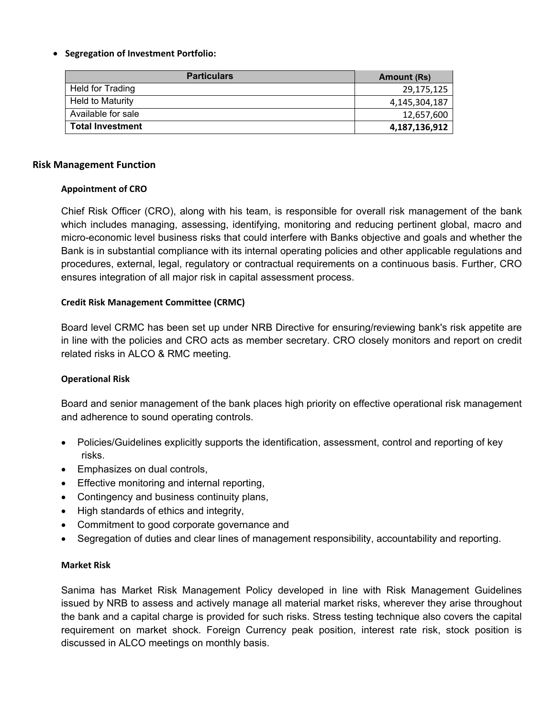### • **Segregation of Investment Portfolio:**

| <b>Particulars</b>      | Amount (Rs)   |
|-------------------------|---------------|
| Held for Trading        | 29,175,125    |
| Held to Maturity        | 4,145,304,187 |
| Available for sale      | 12,657,600    |
| <b>Total Investment</b> | 4,187,136,912 |

### **Risk Management Function**

### **Appointment of CRO**

Chief Risk Officer (CRO), along with his team, is responsible for overall risk management of the bank which includes managing, assessing, identifying, monitoring and reducing pertinent global, macro and micro-economic level business risks that could interfere with Banks objective and goals and whether the Bank is in substantial compliance with its internal operating policies and other applicable regulations and procedures, external, legal, regulatory or contractual requirements on a continuous basis. Further, CRO ensures integration of all major risk in capital assessment process.

### **Credit Risk Management Committee (CRMC)**

Board level CRMC has been set up under NRB Directive for ensuring/reviewing bank's risk appetite are in line with the policies and CRO acts as member secretary. CRO closely monitors and report on credit related risks in ALCO & RMC meeting.

### **Operational Risk**

Board and senior management of the bank places high priority on effective operational risk management and adherence to sound operating controls.

- Policies/Guidelines explicitly supports the identification, assessment, control and reporting of key risks.
- Emphasizes on dual controls,
- Effective monitoring and internal reporting,
- Contingency and business continuity plans,
- High standards of ethics and integrity,
- Commitment to good corporate governance and
- Segregation of duties and clear lines of management responsibility, accountability and reporting.

### **Market Risk**

Sanima has Market Risk Management Policy developed in line with Risk Management Guidelines issued by NRB to assess and actively manage all material market risks, wherever they arise throughout the bank and a capital charge is provided for such risks. Stress testing technique also covers the capital requirement on market shock. Foreign Currency peak position, interest rate risk, stock position is discussed in ALCO meetings on monthly basis.